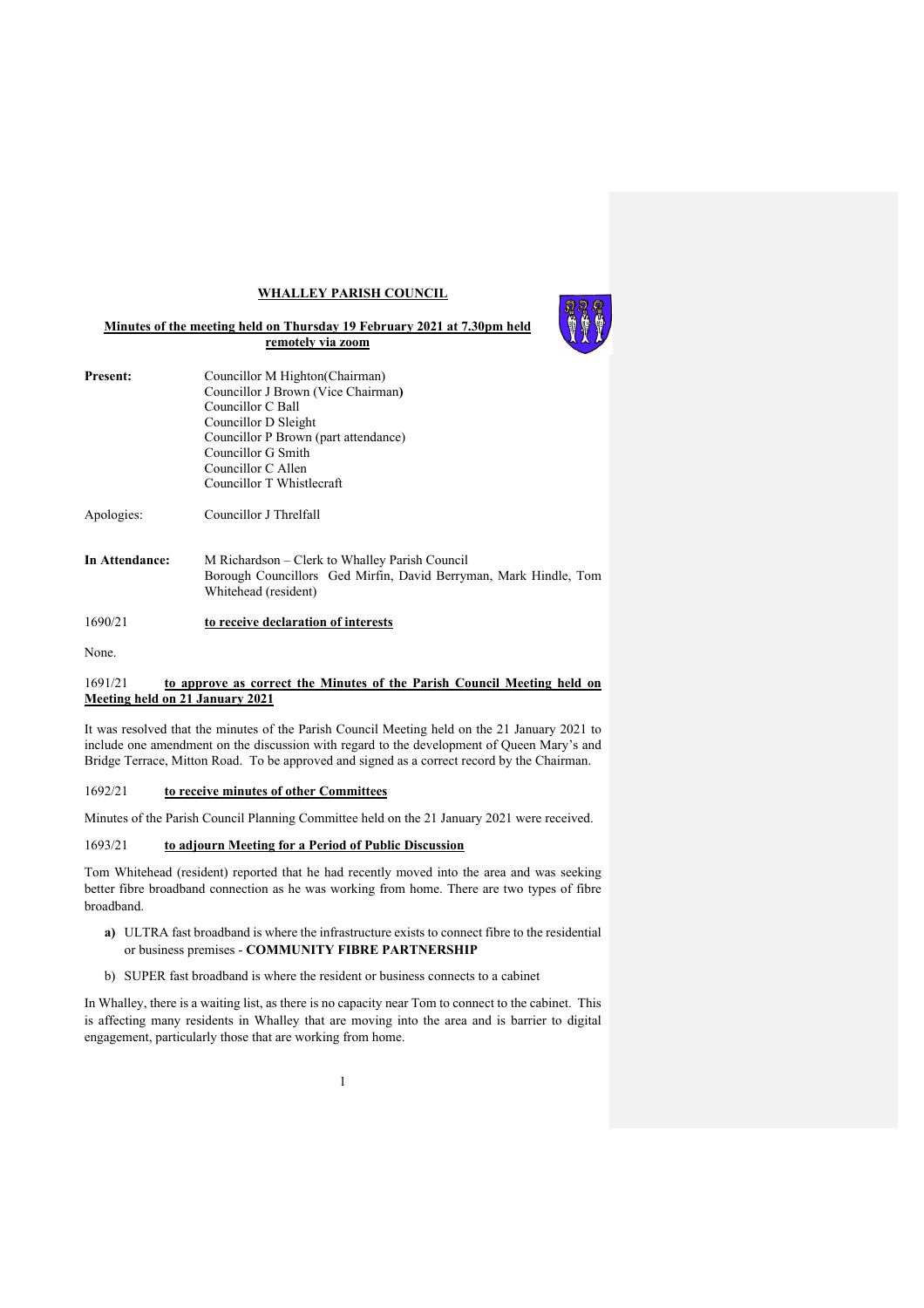## **WHALLEY PARISH COUNCIL**



| <b>Present:</b> | Councillor M Highton (Chairman)<br>Councillor J Brown (Vice Chairman)<br>Councillor C Ball<br>Councillor D Sleight<br>Councillor P Brown (part attendance)<br>Councillor G Smith<br>Councillor C Allen |
|-----------------|--------------------------------------------------------------------------------------------------------------------------------------------------------------------------------------------------------|
|                 | Councillor T Whistlecraft                                                                                                                                                                              |
| Apologies:      | Councillor J Threlfall                                                                                                                                                                                 |
| In Attendance:  | M Richardson – Clerk to Whalley Parish Council<br>$\cdots$ $\sim$ $\cdots$ $\sim$ $\sim$ $\cdots$                                                                                                      |

Borough Councillors Ged Mirfin, David Berryman, Mark Hindle, Tom Whitehead (resident)

# 1690/21 **to receive declaration of interests**

None.

## 1691/21 **to approve as correct the Minutes of the Parish Council Meeting held on Meeting held on 21 January 2021**

It was resolved that the minutes of the Parish Council Meeting held on the 21 January 2021 to include one amendment on the discussion with regard to the development of Queen Mary's and Bridge Terrace, Mitton Road. To be approved and signed as a correct record by the Chairman.

## 1692/21 **to receive minutes of other Committees**

Minutes of the Parish Council Planning Committee held on the 21 January 2021 were received.

# 1693/21 **to adjourn Meeting for a Period of Public Discussion**

Tom Whitehead (resident) reported that he had recently moved into the area and was seeking better fibre broadband connection as he was working from home. There are two types of fibre broadband.

- **a)** ULTRA fast broadband is where the infrastructure exists to connect fibre to the residential or business premises - **COMMUNITY FIBRE PARTNERSHIP**
- b) SUPER fast broadband is where the resident or business connects to a cabinet

In Whalley, there is a waiting list, as there is no capacity near Tom to connect to the cabinet. This is affecting many residents in Whalley that are moving into the area and is barrier to digital engagement, particularly those that are working from home.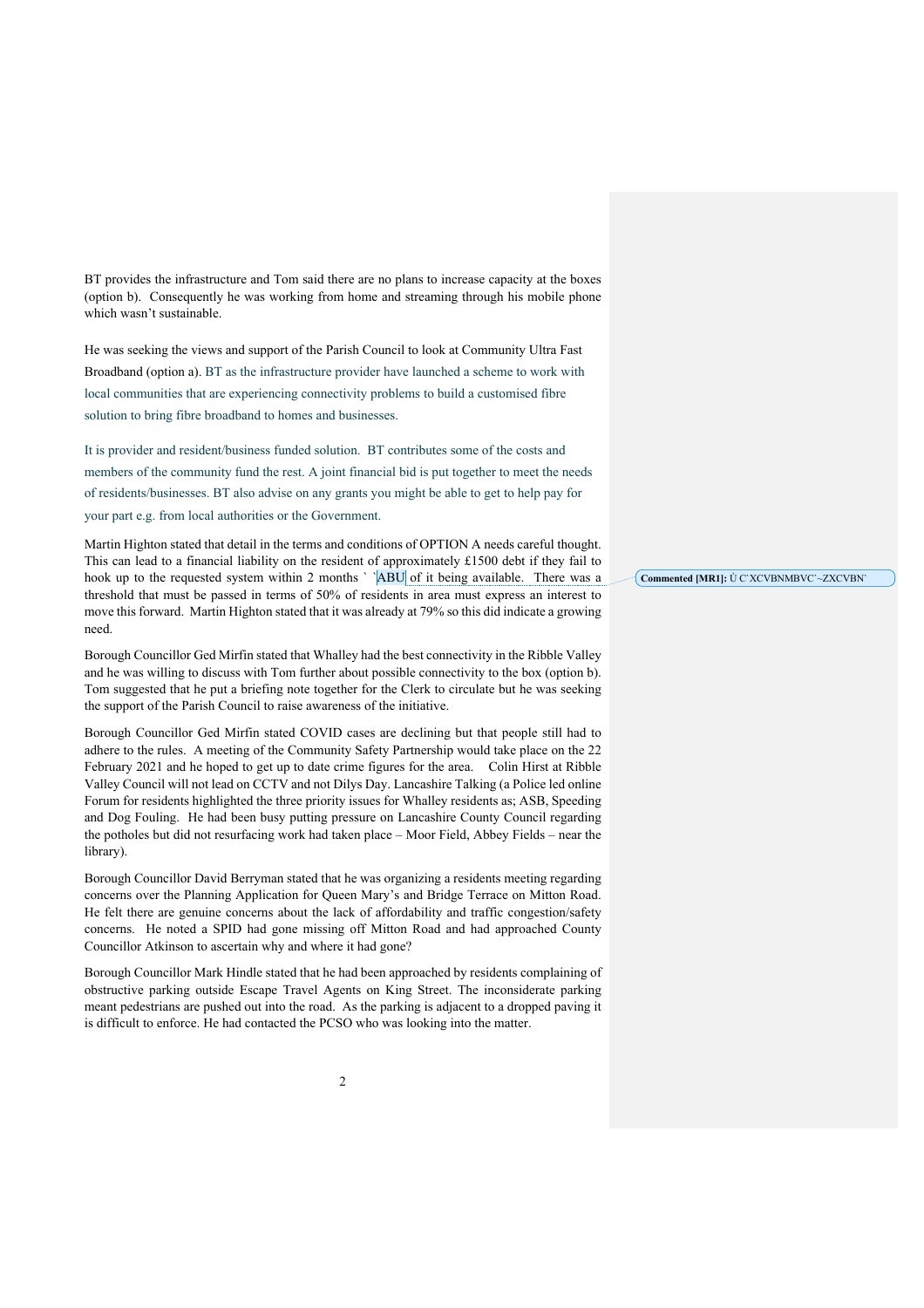BT provides the infrastructure and Tom said there are no plans to increase capacity at the boxes (option b). Consequently he was working from home and streaming through his mobile phone which wasn't sustainable.

He was seeking the views and support of the Parish Council to look at Community Ultra Fast Broadband (option a). BT as the infrastructure provider have launched a scheme to work with local communities that are experiencing connectivity problems to build a customised fibre solution to bring fibre broadband to homes and businesses.

It is provider and resident/business funded solution. BT contributes some of the costs and members of the community fund the rest. A joint financial bid is put together to meet the needs of residents/businesses. BT also advise on any grants you might be able to get to help pay for your part e.g. from local authorities or the Government.

Martin Highton stated that detail in the terms and conditions of OPTION A needs careful thought. This can lead to a financial liability on the resident of approximately £1500 debt if they fail to hook up to the requested system within 2 months ` `ABU of it being available. There was a threshold that must be passed in terms of 50% of residents in area must express an interest to move this forward. Martin Highton stated that it was already at 79% so this did indicate a growing need.

Borough Councillor Ged Mirfin stated that Whalley had the best connectivity in the Ribble Valley and he was willing to discuss with Tom further about possible connectivity to the box (option b). Tom suggested that he put a briefing note together for the Clerk to circulate but he was seeking the support of the Parish Council to raise awareness of the initiative.

Borough Councillor Ged Mirfin stated COVID cases are declining but that people still had to adhere to the rules. A meeting of the Community Safety Partnership would take place on the 22 February 2021 and he hoped to get up to date crime figures for the area. Colin Hirst at Ribble Valley Council will not lead on CCTV and not Dilys Day. Lancashire Talking (a Police led online Forum for residents highlighted the three priority issues for Whalley residents as; ASB, Speeding and Dog Fouling. He had been busy putting pressure on Lancashire County Council regarding the potholes but did not resurfacing work had taken place – Moor Field, Abbey Fields – near the library).

Borough Councillor David Berryman stated that he was organizing a residents meeting regarding concerns over the Planning Application for Queen Mary's and Bridge Terrace on Mitton Road. He felt there are genuine concerns about the lack of affordability and traffic congestion/safety concerns. He noted a SPID had gone missing off Mitton Road and had approached County Councillor Atkinson to ascertain why and where it had gone?

Borough Councillor Mark Hindle stated that he had been approached by residents complaining of obstructive parking outside Escape Travel Agents on King Street. The inconsiderate parking meant pedestrians are pushed out into the road. As the parking is adjacent to a dropped paving it is difficult to enforce. He had contacted the PCSO who was looking into the matter.

**Commented [MR1]:** Ù C`XCVBNMBVC`~ZXCVBN`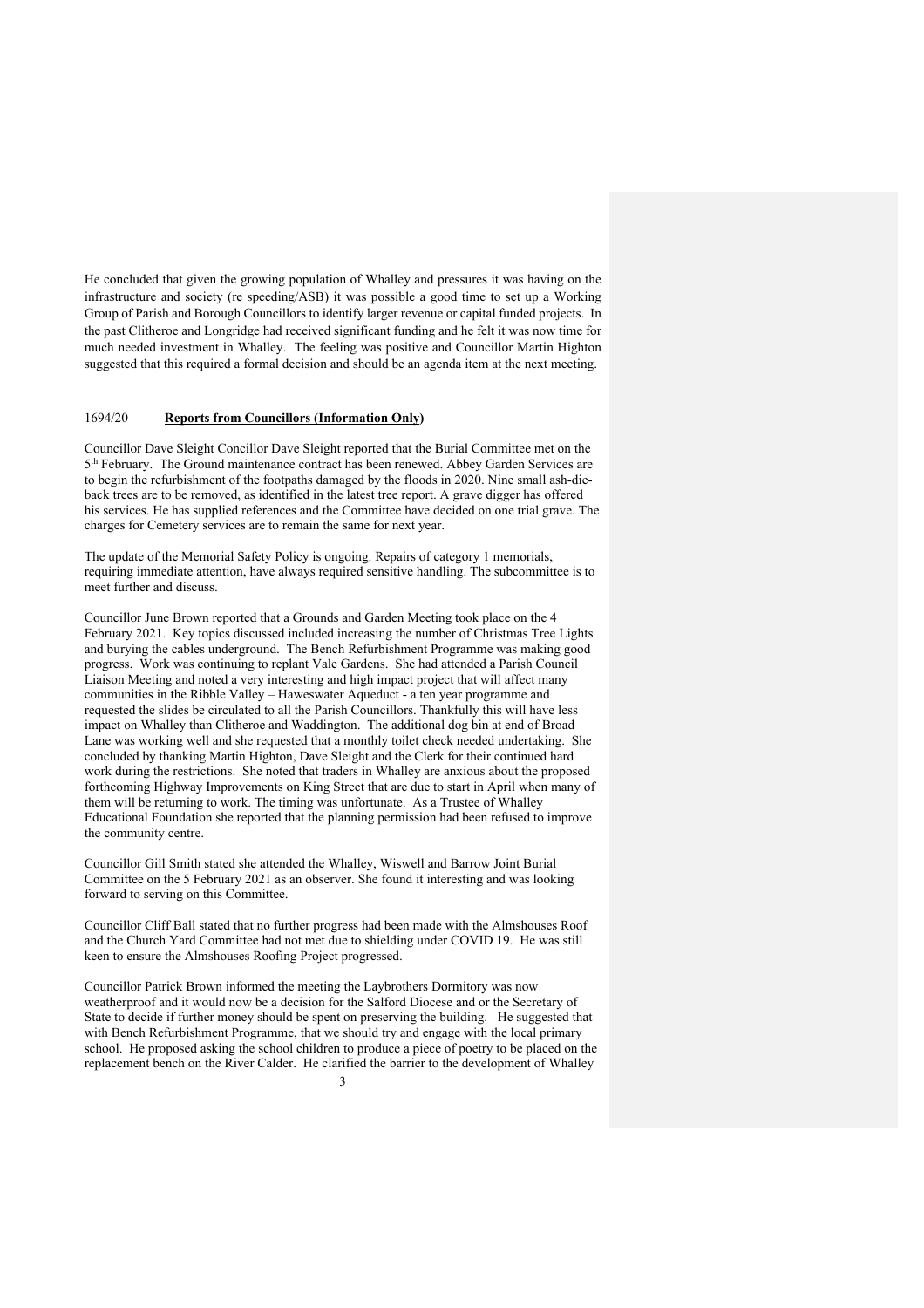He concluded that given the growing population of Whalley and pressures it was having on the infrastructure and society (re speeding/ASB) it was possible a good time to set up a Working Group of Parish and Borough Councillors to identify larger revenue or capital funded projects. In the past Clitheroe and Longridge had received significant funding and he felt it was now time for much needed investment in Whalley. The feeling was positive and Councillor Martin Highton suggested that this required a formal decision and should be an agenda item at the next meeting.

## 1694/20 **Reports from Councillors (Information Only)**

Councillor Dave Sleight Concillor Dave Sleight reported that the Burial Committee met on the 5th February. The Ground maintenance contract has been renewed. Abbey Garden Services are to begin the refurbishment of the footpaths damaged by the floods in 2020. Nine small ash-dieback trees are to be removed, as identified in the latest tree report. A grave digger has offered his services. He has supplied references and the Committee have decided on one trial grave. The charges for Cemetery services are to remain the same for next year.

The update of the Memorial Safety Policy is ongoing. Repairs of category 1 memorials, requiring immediate attention, have always required sensitive handling. The subcommittee is to meet further and discuss.

Councillor June Brown reported that a Grounds and Garden Meeting took place on the 4 February 2021. Key topics discussed included increasing the number of Christmas Tree Lights and burying the cables underground. The Bench Refurbishment Programme was making good progress. Work was continuing to replant Vale Gardens. She had attended a Parish Council Liaison Meeting and noted a very interesting and high impact project that will affect many communities in the Ribble Valley – Haweswater Aqueduct - a ten year programme and requested the slides be circulated to all the Parish Councillors. Thankfully this will have less impact on Whalley than Clitheroe and Waddington. The additional dog bin at end of Broad Lane was working well and she requested that a monthly toilet check needed undertaking. She concluded by thanking Martin Highton, Dave Sleight and the Clerk for their continued hard work during the restrictions. She noted that traders in Whalley are anxious about the proposed forthcoming Highway Improvements on King Street that are due to start in April when many of them will be returning to work. The timing was unfortunate. As a Trustee of Whalley Educational Foundation she reported that the planning permission had been refused to improve the community centre.

Councillor Gill Smith stated she attended the Whalley, Wiswell and Barrow Joint Burial Committee on the 5 February 2021 as an observer. She found it interesting and was looking forward to serving on this Committee.

Councillor Cliff Ball stated that no further progress had been made with the Almshouses Roof and the Church Yard Committee had not met due to shielding under COVID 19. He was still keen to ensure the Almshouses Roofing Project progressed.

3 Councillor Patrick Brown informed the meeting the Laybrothers Dormitory was now weatherproof and it would now be a decision for the Salford Diocese and or the Secretary of State to decide if further money should be spent on preserving the building. He suggested that with Bench Refurbishment Programme, that we should try and engage with the local primary school. He proposed asking the school children to produce a piece of poetry to be placed on the replacement bench on the River Calder. He clarified the barrier to the development of Whalley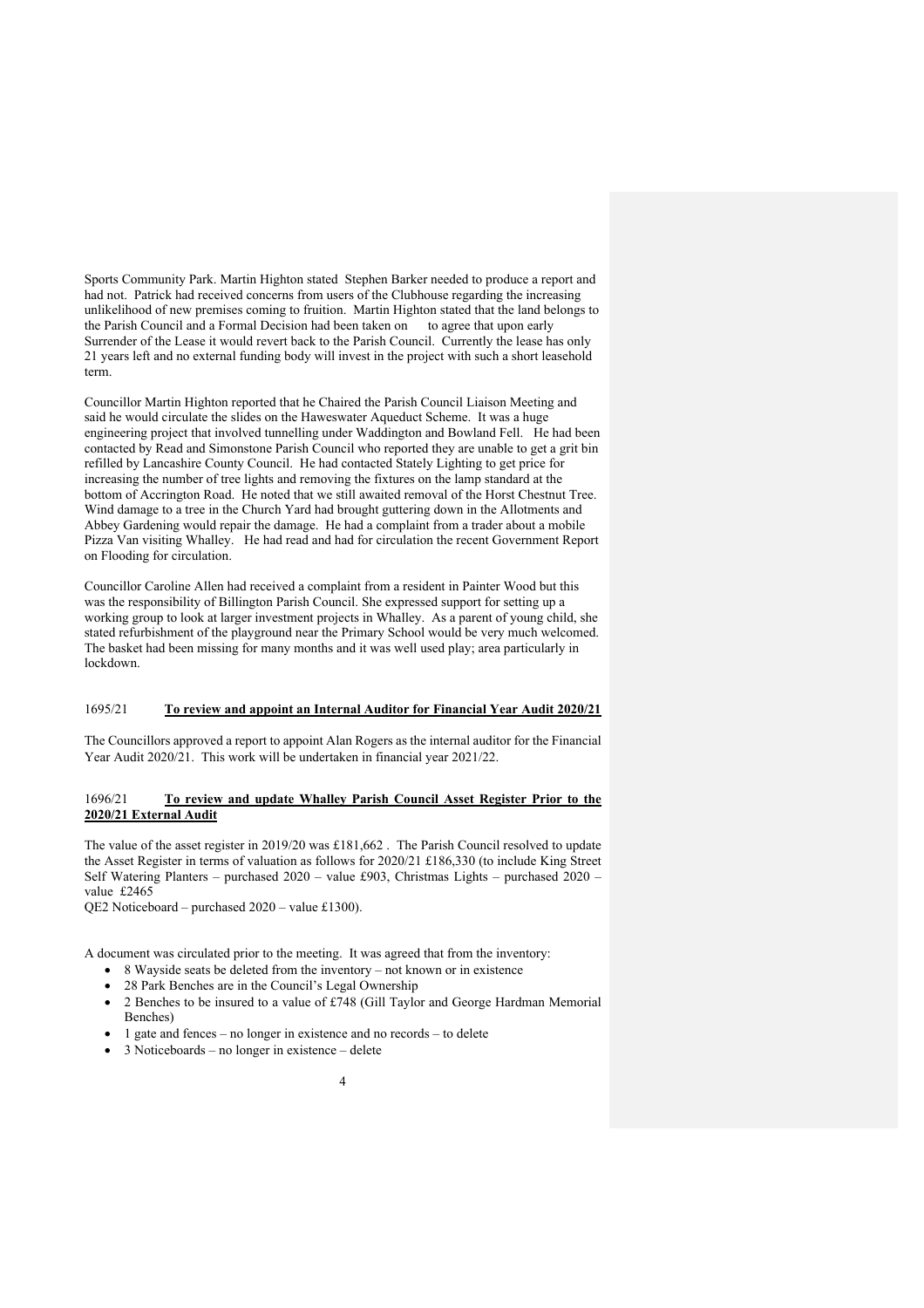Sports Community Park. Martin Highton stated Stephen Barker needed to produce a report and had not. Patrick had received concerns from users of the Clubhouse regarding the increasing unlikelihood of new premises coming to fruition. Martin Highton stated that the land belongs to the Parish Council and a Formal Decision had been taken on to agree that upon early Surrender of the Lease it would revert back to the Parish Council. Currently the lease has only 21 years left and no external funding body will invest in the project with such a short leasehold term.

Councillor Martin Highton reported that he Chaired the Parish Council Liaison Meeting and said he would circulate the slides on the Haweswater Aqueduct Scheme. It was a huge engineering project that involved tunnelling under Waddington and Bowland Fell. He had been contacted by Read and Simonstone Parish Council who reported they are unable to get a grit bin refilled by Lancashire County Council. He had contacted Stately Lighting to get price for increasing the number of tree lights and removing the fixtures on the lamp standard at the bottom of Accrington Road. He noted that we still awaited removal of the Horst Chestnut Tree. Wind damage to a tree in the Church Yard had brought guttering down in the Allotments and Abbey Gardening would repair the damage. He had a complaint from a trader about a mobile Pizza Van visiting Whalley. He had read and had for circulation the recent Government Report on Flooding for circulation.

Councillor Caroline Allen had received a complaint from a resident in Painter Wood but this was the responsibility of Billington Parish Council. She expressed support for setting up a working group to look at larger investment projects in Whalley. As a parent of young child, she stated refurbishment of the playground near the Primary School would be very much welcomed. The basket had been missing for many months and it was well used play; area particularly in lockdown.

## 1695/21 **To review and appoint an Internal Auditor for Financial Year Audit 2020/21**

The Councillors approved a report to appoint Alan Rogers as the internal auditor for the Financial Year Audit 2020/21. This work will be undertaken in financial year 2021/22.

#### 1696/21 **To review and update Whalley Parish Council Asset Register Prior to the 2020/21 External Audit**

The value of the asset register in 2019/20 was £181,662 . The Parish Council resolved to update the Asset Register in terms of valuation as follows for 2020/21 £186,330 (to include King Street Self Watering Planters – purchased 2020 – value £903, Christmas Lights – purchased 2020 – value £2465

QE2 Noticeboard – purchased 2020 – value £1300).

A document was circulated prior to the meeting. It was agreed that from the inventory:

- 8 Wayside seats be deleted from the inventory not known or in existence
- 28 Park Benches are in the Council's Legal Ownership
- 2 Benches to be insured to a value of £748 (Gill Taylor and George Hardman Memorial Benches)
- 1 gate and fences no longer in existence and no records to delete
- 3 Noticeboards no longer in existence delete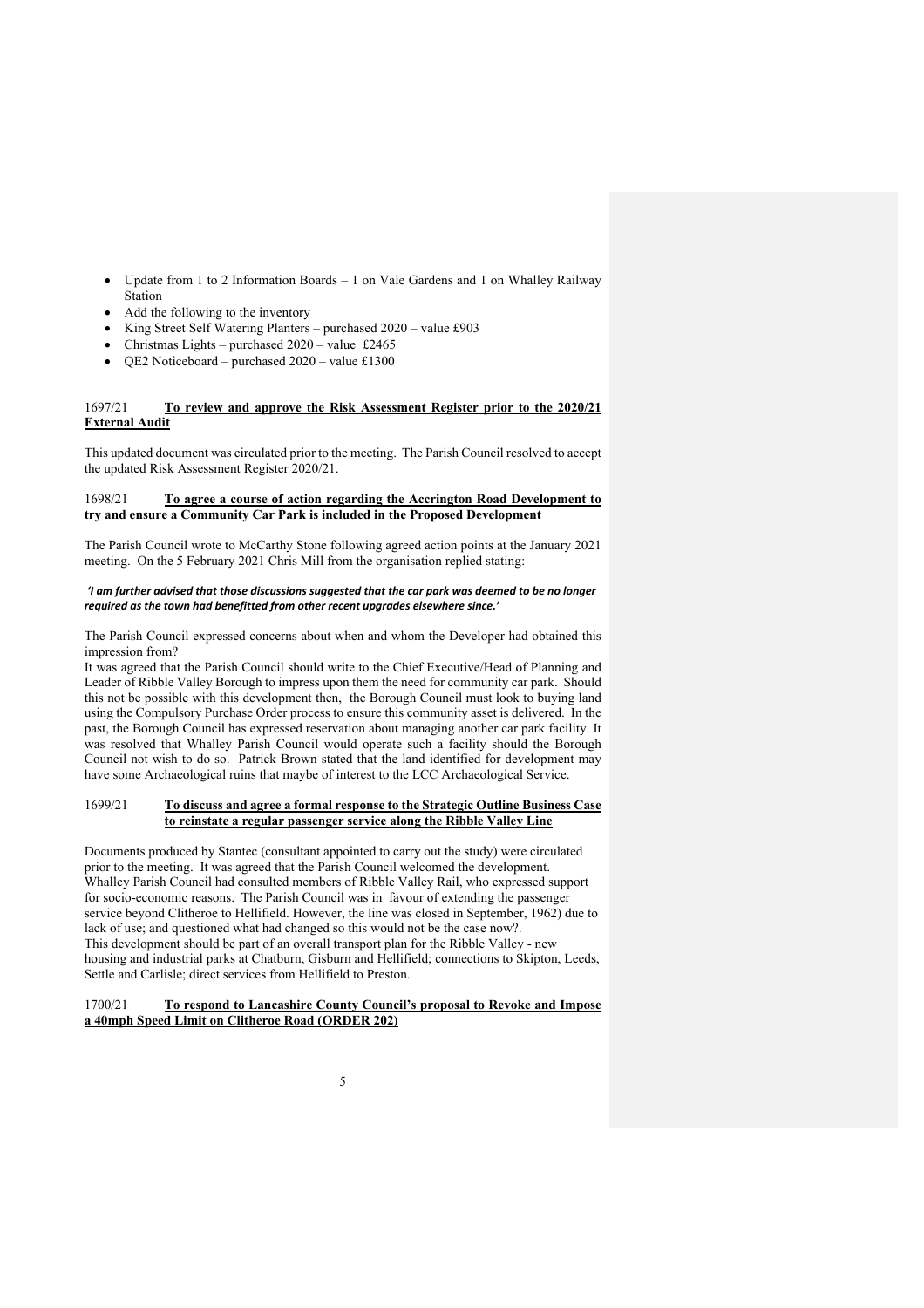- Update from 1 to 2 Information Boards 1 on Vale Gardens and 1 on Whalley Railway Station
- Add the following to the inventory
- King Street Self Watering Planters purchased 2020 value £903
- Christmas Lights purchased  $2020$  value £2465
- QE2 Noticeboard purchased 2020 value £1300

## 1697/21 **To review and approve the Risk Assessment Register prior to the 2020/21 External Audit**

This updated document was circulated prior to the meeting. The Parish Council resolved to accept the updated Risk Assessment Register 2020/21.

#### 1698/21 **To agree a course of action regarding the Accrington Road Development to try and ensure a Community Car Park is included in the Proposed Development**

The Parish Council wrote to McCarthy Stone following agreed action points at the January 2021 meeting. On the 5 February 2021 Chris Mill from the organisation replied stating:

#### *'I am further advised that those discussions suggested that the car park was deemed to be no longer required as the town had benefitted from other recent upgrades elsewhere since.'*

The Parish Council expressed concerns about when and whom the Developer had obtained this impression from?

It was agreed that the Parish Council should write to the Chief Executive/Head of Planning and Leader of Ribble Valley Borough to impress upon them the need for community car park. Should this not be possible with this development then, the Borough Council must look to buying land using the Compulsory Purchase Order process to ensure this community asset is delivered. In the past, the Borough Council has expressed reservation about managing another car park facility. It was resolved that Whalley Parish Council would operate such a facility should the Borough Council not wish to do so. Patrick Brown stated that the land identified for development may have some Archaeological ruins that maybe of interest to the LCC Archaeological Service.

## 1699/21 **To discuss and agree a formal response to the Strategic Outline Business Case to reinstate a regular passenger service along the Ribble Valley Line**

Documents produced by Stantec (consultant appointed to carry out the study) were circulated prior to the meeting. It was agreed that the Parish Council welcomed the development. Whalley Parish Council had consulted members of Ribble Valley Rail, who expressed support for socio-economic reasons. The Parish Council was in favour of extending the passenger service beyond Clitheroe to Hellifield. However, the line was closed in September, 1962) due to lack of use; and questioned what had changed so this would not be the case now?. This development should be part of an overall transport plan for the Ribble Valley - new housing and industrial parks at Chatburn, Gisburn and Hellifield; connections to Skipton, Leeds, Settle and Carlisle; direct services from Hellifield to Preston.

## 1700/21 **To respond to Lancashire County Council's proposal to Revoke and Impose a 40mph Speed Limit on Clitheroe Road (ORDER 202)**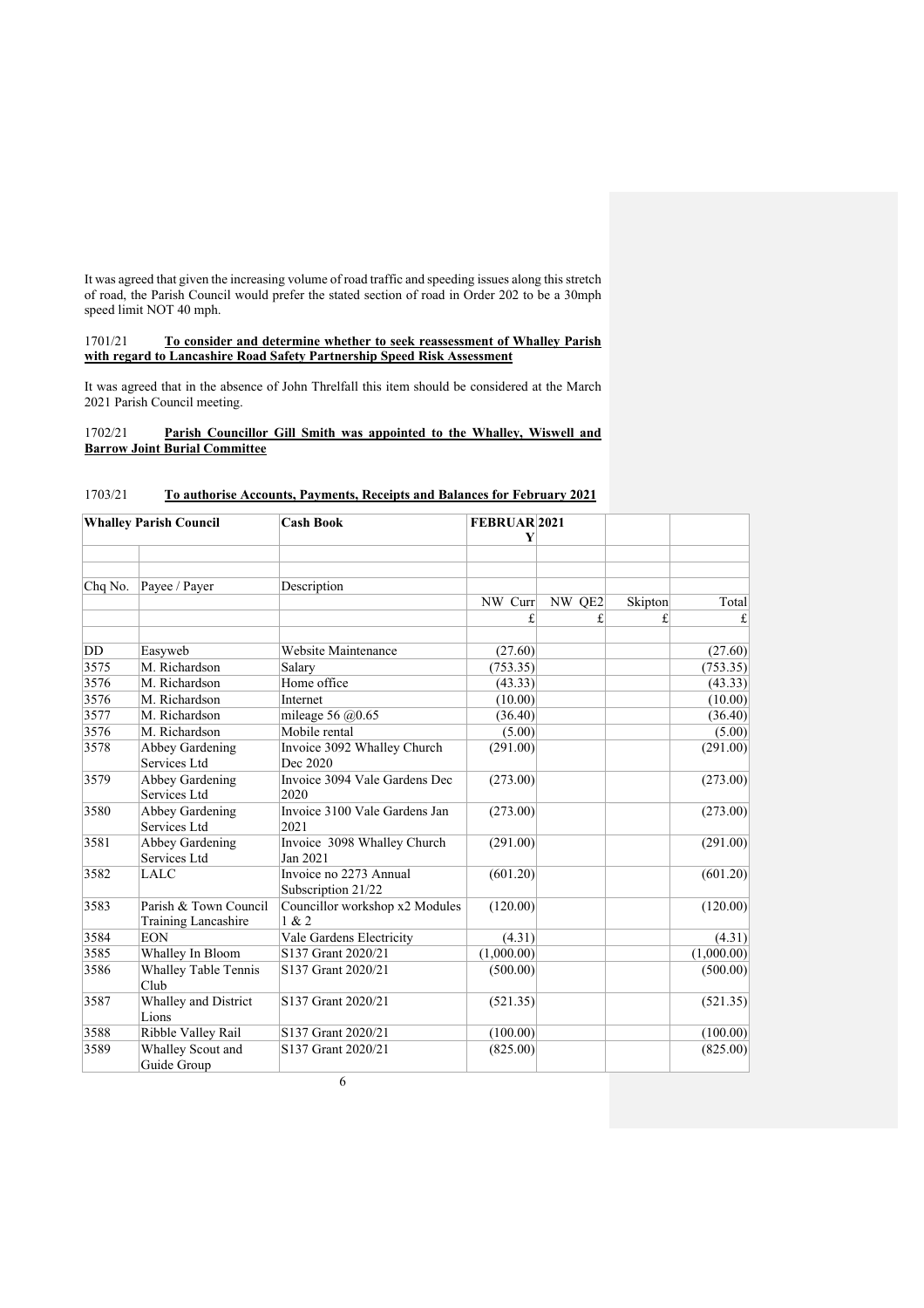It was agreed that given the increasing volume of road traffic and speeding issues along this stretch of road, the Parish Council would prefer the stated section of road in Order 202 to be a 30mph speed limit NOT 40 mph.

#### 1701/21 **To consider and determine whether to seek reassessment of Whalley Parish with regard to Lancashire Road Safety Partnership Speed Risk Assessment**

It was agreed that in the absence of John Threlfall this item should be considered at the March 2021 Parish Council meeting.

## 1702/21 **Parish Councillor Gill Smith was appointed to the Whalley, Wiswell and Barrow Joint Burial Committee**

| <b>Whalley Parish Council</b> |                                                     | <b>Cash Book</b>                             | FEBRUAR <sub>2021</sub> |        |         |            |
|-------------------------------|-----------------------------------------------------|----------------------------------------------|-------------------------|--------|---------|------------|
|                               |                                                     |                                              | Y                       |        |         |            |
| Chq No.                       | Payee / Payer                                       | Description                                  |                         |        |         |            |
|                               |                                                     |                                              | NW Curr                 | NW QE2 | Skipton | Total      |
|                               |                                                     |                                              | £                       | £.     | £       | £          |
| DD                            | Easyweb                                             | Website Maintenance                          | (27.60)                 |        |         | (27.60)    |
| 3575                          | M. Richardson                                       | Salary                                       | (753.35)                |        |         | (753.35)   |
| 3576                          | M. Richardson                                       | Home office                                  | (43.33)                 |        |         | (43.33)    |
| 3576                          | M. Richardson                                       | Internet                                     | (10.00)                 |        |         | (10.00)    |
| 3577                          | M. Richardson                                       | mileage 56 $@0.65$                           | (36.40)                 |        |         | (36.40)    |
| 3576                          | M. Richardson                                       | Mobile rental                                | (5.00)                  |        |         | (5.00)     |
| 3578                          | Abbey Gardening<br>Services Ltd                     | Invoice 3092 Whalley Church<br>Dec 2020      | (291.00)                |        |         | (291.00)   |
| 3579                          | <b>Abbey Gardening</b><br>Services Ltd              | Invoice 3094 Vale Gardens Dec<br>2020        | (273.00)                |        |         | (273.00)   |
| 3580                          | Abbey Gardening<br>Services Ltd                     | Invoice 3100 Vale Gardens Jan<br>2021        | (273.00)                |        |         | (273.00)   |
| 3581                          | Abbey Gardening<br>Services Ltd                     | Invoice 3098 Whalley Church<br>Jan 2021      | (291.00)                |        |         | (291.00)   |
| 3582                          | <b>LALC</b>                                         | Invoice no 2273 Annual<br>Subscription 21/22 | (601.20)                |        |         | (601.20)   |
| 3583                          | Parish & Town Council<br><b>Training Lancashire</b> | Councillor workshop x2 Modules<br>1 & 2      | (120.00)                |        |         | (120.00)   |
| 3584                          | <b>EON</b>                                          | Vale Gardens Electricity                     | (4.31)                  |        |         | (4.31)     |
| 3585                          | Whalley In Bloom                                    | S137 Grant 2020/21                           | (1,000.00)              |        |         | (1,000.00) |
| 3586                          | <b>Whalley Table Tennis</b><br>Club                 | S137 Grant 2020/21                           | (500.00)                |        |         | (500.00)   |
| 3587                          | Whalley and District<br>Lions                       | S137 Grant 2020/21                           | (521.35)                |        |         | (521.35)   |
| 3588                          | Ribble Valley Rail                                  | S137 Grant 2020/21                           | (100.00)                |        |         | (100.00)   |
| 3589                          | Whalley Scout and<br>Guide Group                    | S137 Grant 2020/21                           | (825.00)                |        |         | (825.00)   |

# 1703/21 **To authorise Accounts, Payments, Receipts and Balances for February 2021**